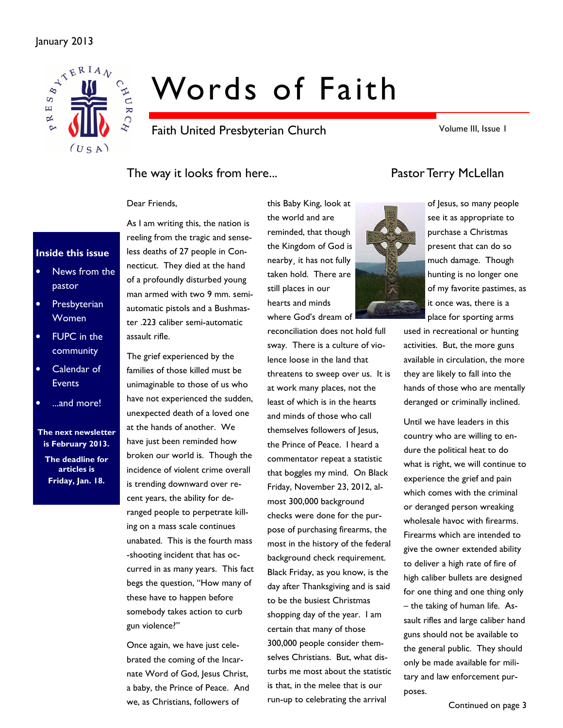#### January 2013



# Words of Faith

Faith United Presbyterian Church

Volume III, Issue 1

### The way it looks from here... The way it looks from here...

#### Dear Friends,

#### Inside this issue

- News from the pastor
- Presbyterian **Women**
- FUPC in the community
- Calendar of Events
- ...and more!

The next newsletter is February 2013.

The deadline for articles is Friday, Jan. 18.

As I am writing this, the nation is reeling from the tragic and senseless deaths of 27 people in Connecticut. They died at the hand of a profoundly disturbed young man armed with two 9 mm. semiautomatic pistols and a Bushmaster .223 caliber semi-automatic assault rifle.

The grief experienced by the families of those killed must be unimaginable to those of us who have not experienced the sudden, unexpected death of a loved one at the hands of another. We have just been reminded how broken our world is. Though the incidence of violent crime overall is trending downward over recent years, the ability for deranged people to perpetrate killing on a mass scale continues unabated. This is the fourth mass -shooting incident that has occurred in as many years. This fact begs the question, "How many of these have to happen before somebody takes action to curb gun violence?"

Once again, we have just celebrated the coming of the Incarnate Word of God, Jesus Christ, a baby, the Prince of Peace. And we, as Christians, followers of

the world and are reminded, that though the Kingdom of God is nearby¸ it has not fully taken hold. There are still places in our hearts and minds where God's dream of

this Baby King, look at

reconciliation does not hold full sway. There is a culture of violence loose in the land that threatens to sweep over us. It is at work many places, not the least of which is in the hearts and minds of those who call themselves followers of Jesus, the Prince of Peace. I heard a commentator repeat a statistic that boggles my mind. On Black Friday, November 23, 2012, almost 300,000 background checks were done for the purpose of purchasing firearms, the most in the history of the federal background check requirement. Black Friday, as you know, is the day after Thanksgiving and is said to be the busiest Christmas shopping day of the year. I am certain that many of those 300,000 people consider themselves Christians. But, what disturbs me most about the statistic is that, in the melee that is our run-up to celebrating the arrival





of Jesus, so many people see it as appropriate to purchase a Christmas present that can do so much damage. Though hunting is no longer one of my favorite pastimes, as it once was, there is a place for sporting arms

used in recreational or hunting activities. But, the more guns available in circulation, the more they are likely to fall into the hands of those who are mentally deranged or criminally inclined.

Until we have leaders in this country who are willing to endure the political heat to do what is right, we will continue to experience the grief and pain which comes with the criminal or deranged person wreaking wholesale havoc with firearms. Firearms which are intended to give the owner extended ability to deliver a high rate of fire of high caliber bullets are designed for one thing and one thing only – the taking of human life. Assault rifles and large caliber hand guns should not be available to the general public. They should only be made available for military and law enforcement purposes.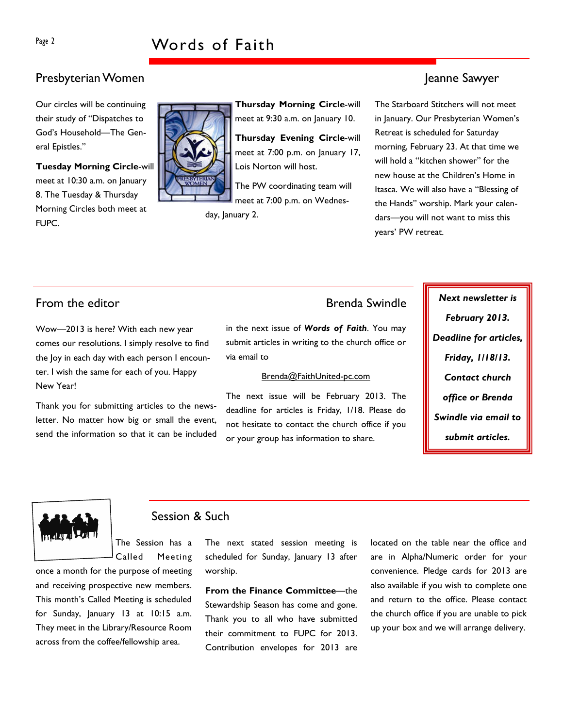### Presbyterian Women Jeanne Sawyer

Our circles will be continuing their study of "Dispatches to God's Household—The General Epistles."

Tuesday Morning Circle-will meet at 10:30 a.m. on January 8. The Tuesday & Thursday Morning Circles both meet at FUPC.



Thursday Morning Circle-will meet at 9:30 a.m. on January 10.

Thursday Evening Circle-will meet at 7:00 p.m. on January 17, Lois Norton will host.

The PW coordinating team will meet at 7:00 p.m. on Wednes-

day, January 2.

The Starboard Stitchers will not meet in January. Our Presbyterian Women's Retreat is scheduled for Saturday morning, February 23. At that time we will hold a "kitchen shower" for the new house at the Children's Home in Itasca. We will also have a "Blessing of the Hands" worship. Mark your calendars—you will not want to miss this years' PW retreat.

Wow—2013 is here? With each new year comes our resolutions. I simply resolve to find the Joy in each day with each person I encounter. I wish the same for each of you. Happy New Year!

Thank you for submitting articles to the newsletter. No matter how big or small the event, send the information so that it can be included

in the next issue of Words of Faith. You may submit articles in writing to the church office or via email to

#### Brenda@FaithUnited-pc.com

The next issue will be February 2013. The deadline for articles is Friday, 1/18. Please do not hesitate to contact the church office if you or your group has information to share.

From the editor **Example 2018** Section 1 and the Brenda Swindle **Next newsletter is** February 2013. Deadline for articles, Friday, 1/18/13. Contact church office or Brenda Swindle via email to submit articles.



#### Session & Such

The Session has a Called Meeting

once a month for the purpose of meeting and receiving prospective new members. This month's Called Meeting is scheduled for Sunday, January 13 at 10:15 a.m. They meet in the Library/Resource Room across from the coffee/fellowship area.

The next stated session meeting is scheduled for Sunday, January 13 after worship.

From the Finance Committee—the Stewardship Season has come and gone. Thank you to all who have submitted their commitment to FUPC for 2013. Contribution envelopes for 2013 are located on the table near the office and are in Alpha/Numeric order for your convenience. Pledge cards for 2013 are also available if you wish to complete one and return to the office. Please contact the church office if you are unable to pick up your box and we will arrange delivery.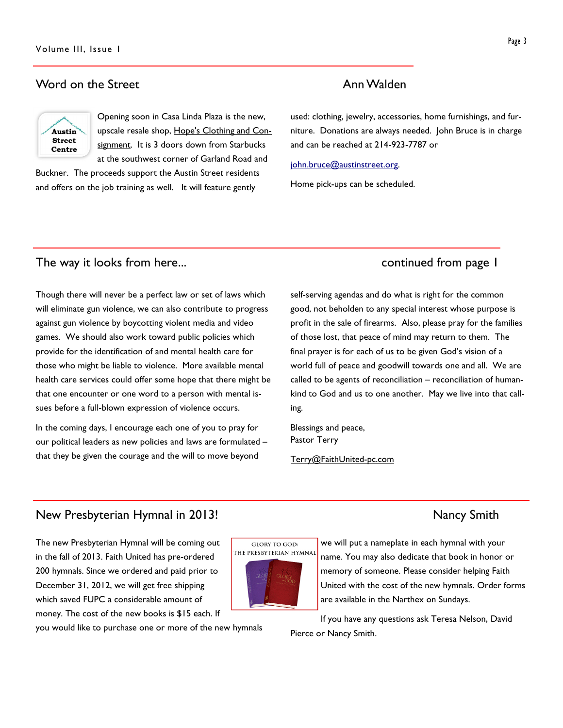#### Word on the Street **Annual Annual Annual Annual Annual Annual** Annual Annual Annual Annual Annual Annual Annual Annual Annual Annual Annual Annual Annual Annual Annual Annual Annual Annual Annual Annual Annual Annual Annua



Opening soon in Casa Linda Plaza is the new, upscale resale shop, Hope's Clothing and Consignment. It is 3 doors down from Starbucks at the southwest corner of Garland Road and

Buckner. The proceeds support the Austin Street residents and offers on the job training as well. It will feature gently

used: clothing, jewelry, accessories, home furnishings, and furniture. Donations are always needed. John Bruce is in charge and can be reached at 214-923-7787 or

#### john.bruce@austinstreet.org.

Home pick-ups can be scheduled.

## The way it looks from here... The way it looks from here...

Though there will never be a perfect law or set of laws which will eliminate gun violence, we can also contribute to progress against gun violence by boycotting violent media and video games. We should also work toward public policies which provide for the identification of and mental health care for those who might be liable to violence. More available mental health care services could offer some hope that there might be that one encounter or one word to a person with mental issues before a full-blown expression of violence occurs.

In the coming days, I encourage each one of you to pray for our political leaders as new policies and laws are formulated – that they be given the courage and the will to move beyond

self-serving agendas and do what is right for the common good, not beholden to any special interest whose purpose is profit in the sale of firearms. Also, please pray for the families of those lost, that peace of mind may return to them. The final prayer is for each of us to be given God's vision of a world full of peace and goodwill towards one and all. We are called to be agents of reconciliation – reconciliation of humankind to God and us to one another. May we live into that calling.

Blessings and peace, Pastor Terry

Terry@FaithUnited-pc.com

#### New Presbyterian Hymnal in 2013! New York Smith

The new Presbyterian Hymnal will be coming out in the fall of 2013. Faith United has pre-ordered 200 hymnals. Since we ordered and paid prior to December 31, 2012, we will get free shipping which saved FUPC a considerable amount of money. The cost of the new books is \$15 each. If

you would like to purchase one or more of the new hymnals



we will put a nameplate in each hymnal with your name. You may also dedicate that book in honor or memory of someone. Please consider helping Faith United with the cost of the new hymnals. Order forms are available in the Narthex on Sundays.

If you have any questions ask Teresa Nelson, David Pierce or Nancy Smith.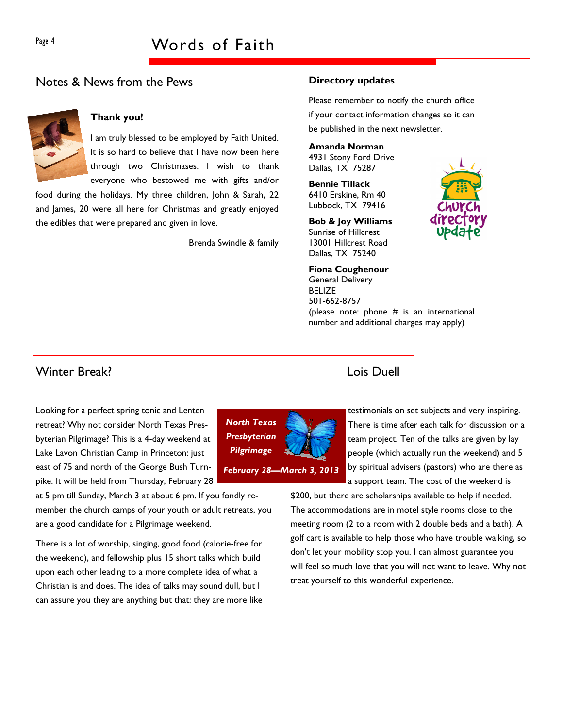## Notes & News from the Pews



#### Thank you!

I am truly blessed to be employed by Faith United. It is so hard to believe that I have now been here through two Christmases. I wish to thank everyone who bestowed me with gifts and/or

food during the holidays. My three children, John & Sarah, 22 and James, 20 were all here for Christmas and greatly enjoyed the edibles that were prepared and given in love.

Brenda Swindle & family

#### Directory updates

Please remember to notify the church office if your contact information changes so it can be published in the next newsletter.

#### Amanda Norman

4931 Stony Ford Drive Dallas, TX 75287

Bennie Tillack 6410 Erskine, Rm 40 Lubbock, TX 79416

Bob & Joy Williams Sunrise of Hillcrest 13001 Hillcrest Road Dallas, TX 75240

Fiona Coughenour General Delivery BELIZE 501-662-8757

(please note: phone  $#$  is an international number and additional charges may apply)

## Winter Break? Lois Duell

Looking for a perfect spring tonic and Lenten retreat? Why not consider North Texas Presbyterian Pilgrimage? This is a 4-day weekend at Lake Lavon Christian Camp in Princeton: just east of 75 and north of the George Bush Turnpike. It will be held from Thursday, February 28

at 5 pm till Sunday, March 3 at about 6 pm. If you fondly remember the church camps of your youth or adult retreats, you are a good candidate for a Pilgrimage weekend.

There is a lot of worship, singing, good food (calorie-free for the weekend), and fellowship plus 15 short talks which build upon each other leading to a more complete idea of what a Christian is and does. The idea of talks may sound dull, but I can assure you they are anything but that: they are more like



testimonials on set subjects and very inspiring. There is time after each talk for discussion or a team project. Ten of the talks are given by lay people (which actually run the weekend) and 5 by spiritual advisers (pastors) who are there as a support team. The cost of the weekend is

\$200, but there are scholarships available to help if needed. The accommodations are in motel style rooms close to the meeting room (2 to a room with 2 double beds and a bath). A golf cart is available to help those who have trouble walking, so don't let your mobility stop you. I can almost guarantee you will feel so much love that you will not want to leave. Why not treat yourself to this wonderful experience.

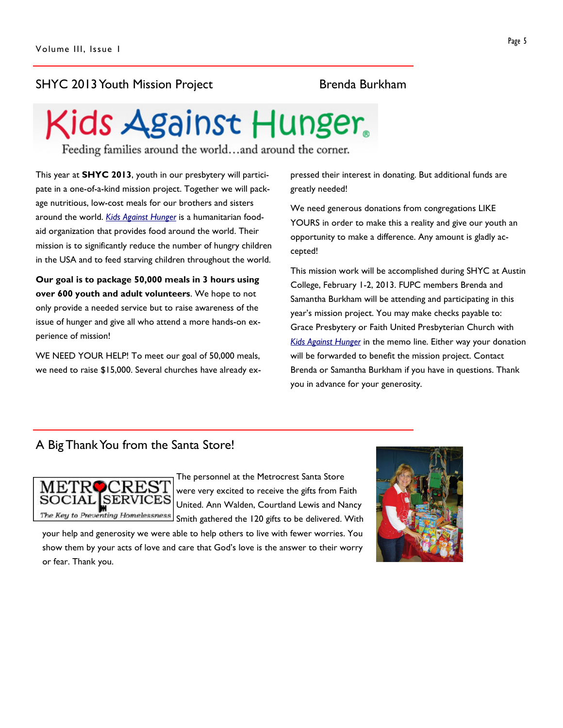## SHYC 2013 Youth Mission Project Brenda Burkham

# Kids Against Hunger.

Feeding families around the world...and around the corner.

This year at **SHYC 2013**, youth in our presbytery will participate in a one-of-a-kind mission project. Together we will package nutritious, low-cost meals for our brothers and sisters around the world. Kids Against Hunger is a humanitarian foodaid organization that provides food around the world. Their mission is to significantly reduce the number of hungry children in the USA and to feed starving children throughout the world.

Our goal is to package 50,000 meals in 3 hours using over 600 youth and adult volunteers. We hope to not only provide a needed service but to raise awareness of the issue of hunger and give all who attend a more hands-on experience of mission!

WE NEED YOUR HELP! To meet our goal of 50,000 meals, we need to raise \$15,000. Several churches have already expressed their interest in donating. But additional funds are greatly needed!

We need generous donations from congregations LIKE YOURS in order to make this a reality and give our youth an opportunity to make a difference. Any amount is gladly accepted!

This mission work will be accomplished during SHYC at Austin College, February 1-2, 2013. FUPC members Brenda and Samantha Burkham will be attending and participating in this year's mission project. You may make checks payable to: Grace Presbytery or Faith United Presbyterian Church with Kids Against Hunger in the memo line. Either way your donation will be forwarded to benefit the mission project. Contact Brenda or Samantha Burkham if you have in questions. Thank you in advance for your generosity.

## A Big Thank You from the Santa Store!



The personnel at the Metrocrest Santa Store were very excited to receive the gifts from Faith United. Ann Walden, Courtland Lewis and Nancy Smith gathered the 120 gifts to be delivered. With

your help and generosity we were able to help others to live with fewer worries. You show them by your acts of love and care that God's love is the answer to their worry or fear. Thank you.

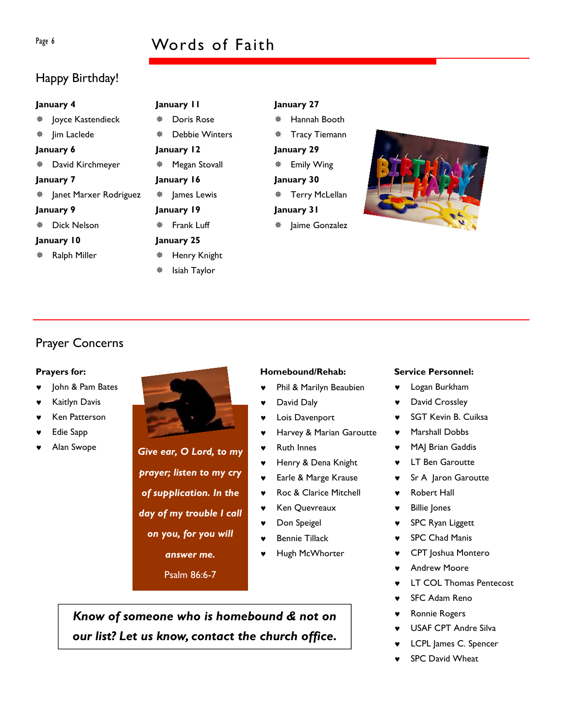## Page 6 Words of Faith

## Happy Birthday!

| January 4 |  |  |              |  |
|-----------|--|--|--------------|--|
| $\sim$    |  |  | $\mathbf{z}$ |  |

 Joyce Kastendieck **※ lim Laclede** January 6 David Kirchmeyer January 7 Janet Marxer Rodriguez January 9 Dick Nelson January 10

 Megan Stovall January 16 James Lewis January 19 Frank Luff January 25 Henry Knight \* Isiah Taylor

January 11 Doris Rose Debbie Winters

January 12

January 27

 Hannah Booth Tracy Tiemann January 29 Emily Wing January 30 Terry McLellan January 31 **\* Jaime Gonzalez** 



## Prayer Concerns

#### Prayers for:

Ralph Miller

- John & Pam Bates
- **Kaitlyn Davis**
- **Ken Patterson**
- **Edie Sapp**
- Alan Swope **Give ear, O Lord, to my**

# Homebound/Rehab:

- ♥ Phil & Marilyn Beaubien
- David Daly
- Lois Davenport
- Harvey & Marian Garoutte
- **Ruth Innes**
- ♥ Henry & Dena Knight
- ♥ Earle & Marge Krause
- ♥ Roc & Clarice Mitchell
- ♥ Ken Quevreaux
- ♥ Don Speigel
- Bennie Tillack
- Hugh McWhorter

Know of someone who is homebound & not on our list? Let us know, contact the church office.

#### Service Personnel:

- ♥ Logan Burkham
- ♥ David Crossley
- SGT Kevin B. Cuiksa
- ♥ Marshall Dobbs
- MAJ Brian Gaddis
- ♥ LT Ben Garoutte
- Sr A Jaron Garoutte
- **Robert Hall** 
	- **Billie Jones**
	- SPC Ryan Liggett
	- **SPC Chad Manis**
	- **CPT** Joshua Montero
	- **Andrew Moore**
	- **LT COL Thomas Pentecost**
	- **SFC Adam Reno**
	- Ronnie Rogers
	- USAF CPT Andre Silva
	- LCPL James C. Spencer
	- SPC David Wheat

prayer; listen to my cry of supplication. In the day of my trouble I call on you, for you will

answer me.

Psalm 86:6-7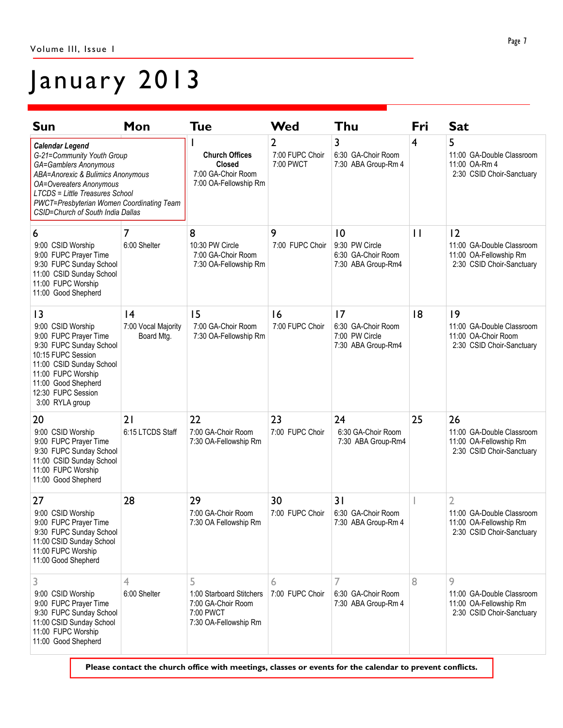# January 2013

| Sun                                                                                                                                                                                                                                                                                     | Mon                                    | <b>Tue</b>                                                                                | Wed                                            | Thu                                                                       | Fri          | <b>Sat</b>                                                                                         |
|-----------------------------------------------------------------------------------------------------------------------------------------------------------------------------------------------------------------------------------------------------------------------------------------|----------------------------------------|-------------------------------------------------------------------------------------------|------------------------------------------------|---------------------------------------------------------------------------|--------------|----------------------------------------------------------------------------------------------------|
| <b>Calendar Legend</b><br>G-21=Community Youth Group<br><b>GA=Gamblers Anonymous</b><br>ABA=Anorexic & Bulimics Anonymous<br><b>OA=Overeaters Anonymous</b><br><b>LTCDS</b> = Little Treasures School<br>PWCT=Presbyterian Women Coordinating Team<br>CSID=Church of South India Dallas |                                        | <b>Church Offices</b><br>Closed<br>7:00 GA-Choir Room<br>7:00 OA-Fellowship Rm            | $\overline{2}$<br>7:00 FUPC Choir<br>7:00 PWCT | 3<br>6:30 GA-Choir Room<br>7:30 ABA Group-Rm 4                            | 4            | 5<br>11:00 GA-Double Classroom<br>11:00 OA-Rm 4<br>2:30 CSID Choir-Sanctuary                       |
| 6<br>9:00 CSID Worship<br>9:00 FUPC Prayer Time<br>9:30 FUPC Sunday School<br>11:00 CSID Sunday School<br>11:00 FUPC Worship<br>11:00 Good Shepherd                                                                                                                                     | 7<br>6:00 Shelter                      | 8<br>10:30 PW Circle<br>7:00 GA-Choir Room<br>7:30 OA-Fellowship Rm                       | 9<br>7:00 FUPC Choir                           | $ 0\rangle$<br>9:30 PW Circle<br>6:30 GA-Choir Room<br>7:30 ABA Group-Rm4 | $\mathbf{H}$ | 12<br>11:00 GA-Double Classroom<br>11:00 OA-Fellowship Rm<br>2:30 CSID Choir-Sanctuary             |
| 3<br>9:00 CSID Worship<br>9:00 FUPC Prayer Time<br>9:30 FUPC Sunday School<br>10:15 FUPC Session<br>11:00 CSID Sunday School<br>11:00 FUPC Worship<br>11:00 Good Shepherd<br>12:30 FUPC Session<br>3:00 RYLA group                                                                      | 4<br>7:00 Vocal Majority<br>Board Mtg. | 15<br>7:00 GA-Choir Room<br>7:30 OA-Fellowship Rm                                         | 16<br>7:00 FUPC Choir                          | 17<br>6:30 GA-Choir Room<br>7:00 PW Circle<br>7:30 ABA Group-Rm4          | 18           | 9<br>11:00 GA-Double Classroom<br>11:00 OA-Choir Room<br>2:30 CSID Choir-Sanctuary                 |
| 20<br>9:00 CSID Worship<br>9:00 FUPC Prayer Time<br>9:30 FUPC Sunday School<br>11:00 CSID Sunday School<br>11:00 FUPC Worship<br>11:00 Good Shepherd                                                                                                                                    | 21<br>6:15 LTCDS Staff                 | 22<br>7:00 GA-Choir Room<br>7:30 OA-Fellowship Rm                                         | 23<br>7:00 FUPC Choir                          | 24<br>6:30 GA-Choir Room<br>7:30 ABA Group-Rm4                            | 25           | 26<br>11:00 GA-Double Classroom<br>11:00 OA-Fellowship Rm<br>2:30 CSID Choir-Sanctuary             |
| 27<br>9:00 CSID Worship<br>9:00 FUPC Prayer Time<br>9:30 FUPC Sunday School<br>11:00 CSID Sunday School<br>11:00 FUPC Worship<br>11:00 Good Shepherd                                                                                                                                    | 28                                     | 29<br>7:00 GA-Choir Room<br>7:30 OA Fellowship Rm                                         | 30<br>7:00 FUPC Choir                          | 31<br>6:30 GA-Choir Room<br>7:30 ABA Group-Rm 4                           |              | $\overline{2}$<br>11:00 GA-Double Classroom<br>11:00 OA-Fellowship Rm<br>2:30 CSID Choir-Sanctuary |
| 3<br>9:00 CSID Worship<br>9:00 FUPC Prayer Time<br>9:30 FUPC Sunday School<br>11:00 CSID Sunday School<br>11:00 FUPC Worship<br>11:00 Good Shepherd                                                                                                                                     | 4<br>6:00 Shelter                      | 5<br>1:00 Starboard Stitchers<br>7:00 GA-Choir Room<br>7:00 PWCT<br>7:30 OA-Fellowship Rm | 6<br>7:00 FUPC Choir                           | 7<br>6:30 GA-Choir Room<br>7:30 ABA Group-Rm 4                            | 8            | 9<br>11:00 GA-Double Classroom<br>11:00 OA-Fellowship Rm<br>2:30 CSID Choir-Sanctuary              |

Please contact the church office with meetings, classes or events for the calendar to prevent conflicts.